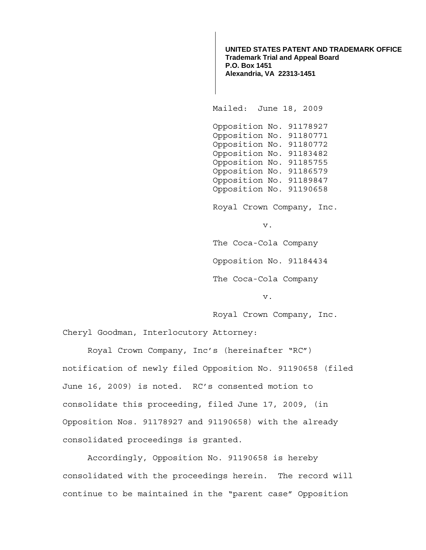**UNITED STATES PATENT AND TRADEMARK OFFICE Trademark Trial and Appeal Board P.O. Box 1451 Alexandria, VA 22313-1451**

Mailed: June 18, 2009

 Opposition No. 91178927 Opposition No. 91180771 Opposition No. 91180772 Opposition No. 91183482 Opposition No. 91185755 Opposition No. 91186579 Opposition No. 91189847 Opposition No. 91190658

Royal Crown Company, Inc.

v.

The Coca-Cola Company Opposition No. 91184434 The Coca-Cola Company

v.

Royal Crown Company, Inc.

Cheryl Goodman, Interlocutory Attorney:

 Royal Crown Company, Inc's (hereinafter "RC") notification of newly filed Opposition No. 91190658 (filed June 16, 2009) is noted. RC's consented motion to consolidate this proceeding, filed June 17, 2009, (in Opposition Nos. 91178927 and 91190658) with the already consolidated proceedings is granted.

Accordingly, Opposition No. 91190658 is hereby consolidated with the proceedings herein. The record will continue to be maintained in the "parent case" Opposition